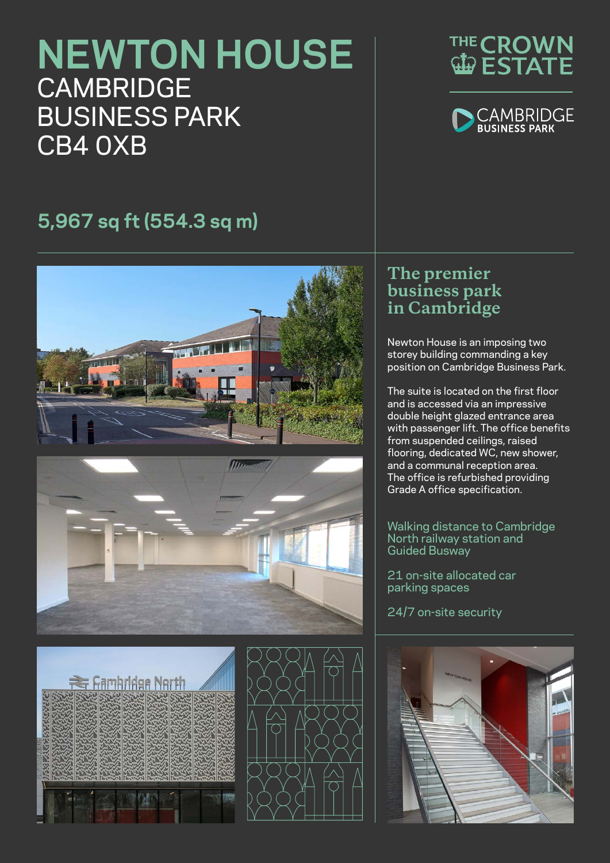# **NEWTON HOUSE CAMBRIDGE** BUSINESS PARK CB4 0XB





# **5,967 sq ft (554.3 sq m)**





# **Rambridge North**



## **The premier business park in Cambridge**

Newton House is an imposing two storey building commanding a key position on Cambridge Business Park.

The suite is located on the first floor and is accessed via an impressive double height glazed entrance area with passenger lift. The office benefits from suspended ceilings, raised flooring, dedicated WC, new shower, and a communal reception area. The office is refurbished providing Grade A office specification.

### Walking distance to Cambridge North railway station and Guided Busway

21 on-site allocated car parking spaces

24/7 on-site security

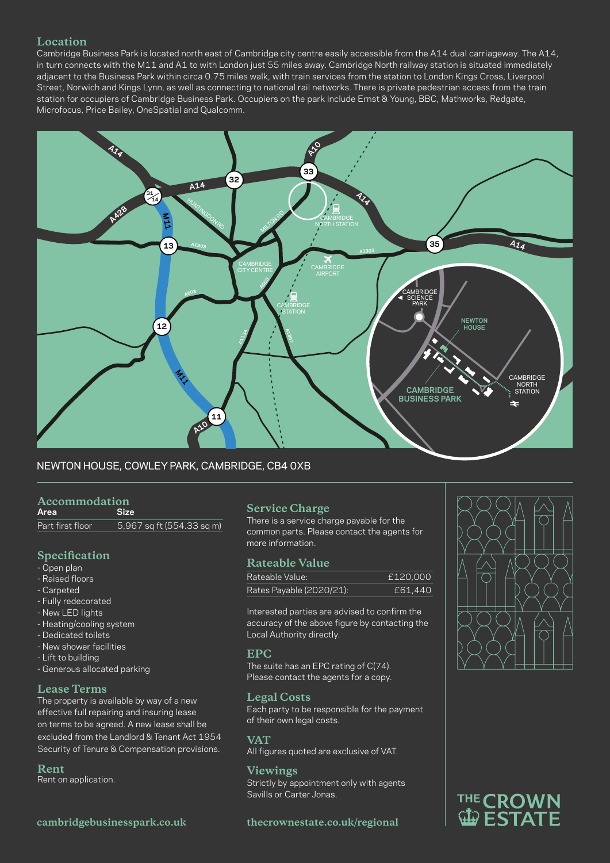### **Location**

Cambridge Business Park is located north east of Cambridge city centre easily accessible from the A14 dual carriageway. The A14, in turn connects with the M11 and A1 to with London just 55 miles away. Cambridge North railway station is situated immediately adjacent to the Business Park within circa 0.75 miles walk, with train services from the station to London Kings Cross, Liverpool Street, Norwich and Kings Lynn, as well as connecting to national rail networks. There is private pedestrian access from the train station for occupiers of Cambridge Business Park. Occupiers on the park include Ernst & Young, BBC, Mathworks, Redgate, Microfocus, Price Bailey, OneSpatial and Qualcomm.



### NEWTON HOUSE, COWLEY PARK, CAMBRIDGE, CB4 0XB

# **Accommodation**

Area Part first floor  $5,967$  sq ft (554.33 sq m)

### **Specification**

- Open plan
- Raised floors
- Carpeted
- Fully redecorated
- New LED lights
- Heating/cooling system
- Dedicated toilets
- New shower facilities
- Lift to building
- Generous allocated parking

### **Lease Terms**

The property is available by way of a new effective full repairing and insuring lease on terms to be agreed. A new lease shall be excluded from the Landlord & Tenant Act 1954 Security of Tenure & Compensation provisions.

### **Rent**

Rent on application.

### **cambridgebusinesspark.co.uk**

### **Service Charge**

There is a service charge payable for the common parts. Please contact the agents for more information.

### **Rateable Value**

| Rateable Value:          | £120,000 |
|--------------------------|----------|
| Rates Payable (2020/21): | £61,440  |

accuracy of the above figure by contacting the Interested parties are advised to confirm the Local Authority directly.

### **EPC**

The suite has an EPC rating of C(74). Please contact the agents for a copy.

### **Legal Costs**

Each party to be responsible for the payment of their own legal costs.

### **VAT**

All figures quoted are exclusive of VAT.

### **Viewings**

Strictly by appointment only with agents Savills or Carter Jonas.

### **thecrownestate.co.uk/regional**